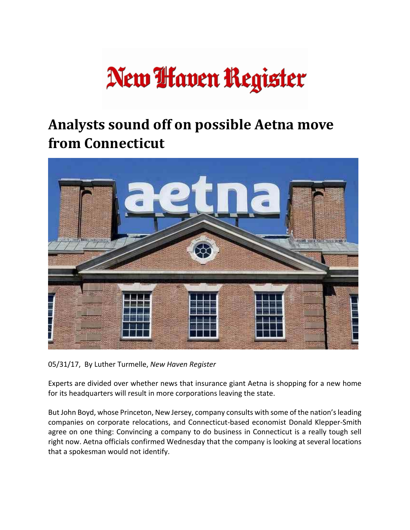## New **Haven Register**

## **Analysts sound off on possible Aetna move from Connecticut**



05/31/17, By Luther Turmelle, *New Haven Register*

Experts are divided over whether news that insurance giant Aetna is shopping for a new home for its headquarters will result in more corporations leaving the state.

But John Boyd, whose Princeton, New Jersey, company consults with some of the nation'sleading companies on corporate relocations, and Connecticut‐based economist Donald Klepper‐Smith agree on one thing: Convincing a company to do business in Connecticut is a really tough sell right now. Aetna officials confirmed Wednesday that the company is looking at several locations that a spokesman would not identify.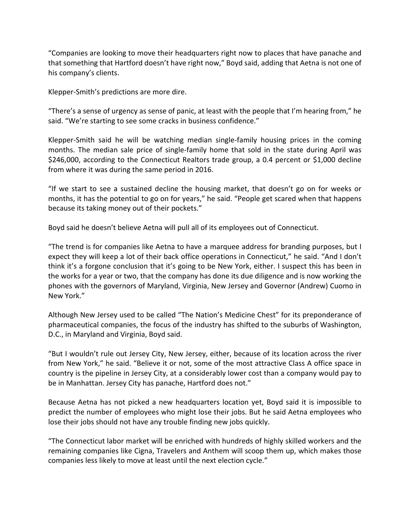"Companies are looking to move their headquarters right now to places that have panache and that something that Hartford doesn't have right now," Boyd said, adding that Aetna is not one of his company's clients.

Klepper‐Smith's predictions are more dire.

"There's a sense of urgency as sense of panic, at least with the people that I'm hearing from," he said. "We're starting to see some cracks in business confidence."

Klepper-Smith said he will be watching median single-family housing prices in the coming months. The median sale price of single‐family home that sold in the state during April was \$246,000, according to the Connecticut Realtors trade group, a 0.4 percent or \$1,000 decline from where it was during the same period in 2016.

"If we start to see a sustained decline the housing market, that doesn't go on for weeks or months, it has the potential to go on for years," he said. "People get scared when that happens because its taking money out of their pockets."

Boyd said he doesn't believe Aetna will pull all of its employees out of Connecticut.

"The trend is for companies like Aetna to have a marquee address for branding purposes, but I expect they will keep a lot of their back office operations in Connecticut," he said. "And I don't think it's a forgone conclusion that it's going to be New York, either. I suspect this has been in the works for a year or two, that the company has done its due diligence and is now working the phones with the governors of Maryland, Virginia, New Jersey and Governor (Andrew) Cuomo in New York."

Although New Jersey used to be called "The Nation's Medicine Chest" for its preponderance of pharmaceutical companies, the focus of the industry has shifted to the suburbs of Washington, D.C., in Maryland and Virginia, Boyd said.

"But I wouldn't rule out Jersey City, New Jersey, either, because of its location across the river from New York," he said. "Believe it or not, some of the most attractive Class A office space in country is the pipeline in Jersey City, at a considerably lower cost than a company would pay to be in Manhattan. Jersey City has panache, Hartford does not."

Because Aetna has not picked a new headquarters location yet, Boyd said it is impossible to predict the number of employees who might lose their jobs. But he said Aetna employees who lose their jobs should not have any trouble finding new jobs quickly.

"The Connecticut labor market will be enriched with hundreds of highly skilled workers and the remaining companies like Cigna, Travelers and Anthem will scoop them up, which makes those companies less likely to move at least until the next election cycle."